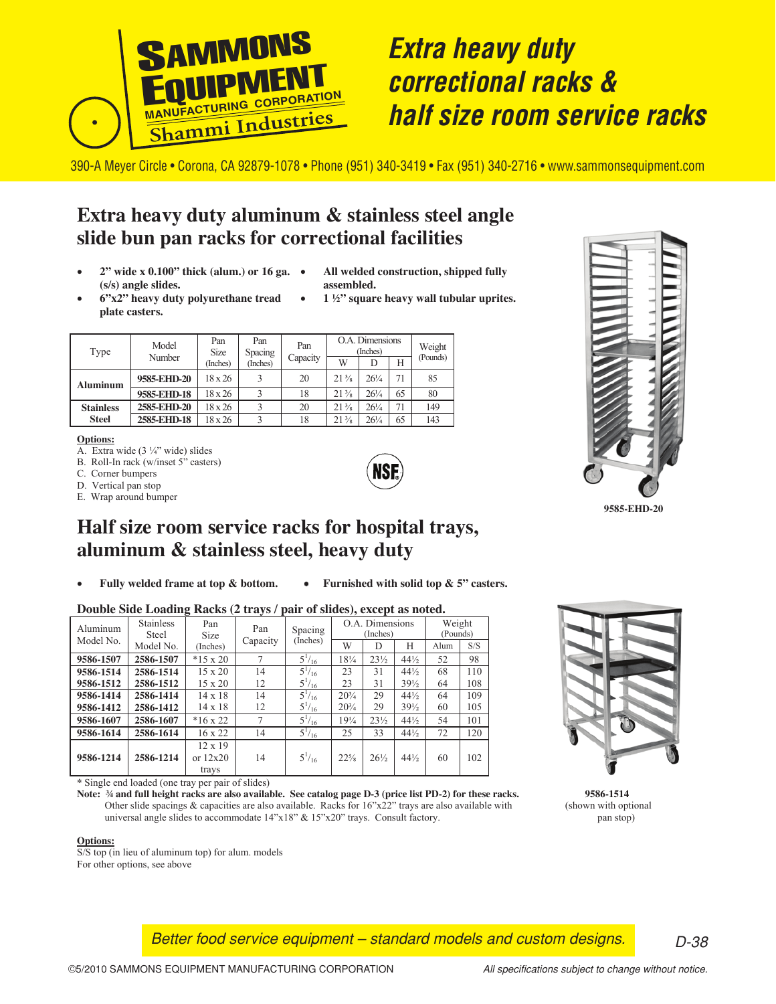

# **Extra heavy duty**  *Extra heavy duty* **correctional racks &**  *correctional racks &* **half size room service racks**  *half size room service racks*

390-A Meyer Circle • Corona, CA 92879-1078 • Phone (951) 340-3419 • Fax (951) 340-2716 • www.sammonsequipment.com

## **Extra heavy duty aluminum & stainless steel angle slide bun pan racks for correctional facilities**

- **2" wide x 0.100" thick (alum.) or 16 ga. (s/s) angle slides.**
- **All welded construction, shipped fully assembled.**
- **6"x2" heavy duty polyurethane tread plate casters.**
- **1 ½" square heavy wall tubular uprites.**

|  | Type             | Model<br>Number | Pan<br><b>Size</b> | Pan<br>Spacing | Pan      |                 | O.A. Dimensions<br>(Inches) |    | Weight   |  |
|--|------------------|-----------------|--------------------|----------------|----------|-----------------|-----------------------------|----|----------|--|
|  |                  |                 | (Inches)           | (Inches)       | Capacity | W               | D                           | Н  | (Pounds) |  |
|  | <b>Aluminum</b>  | 9585-EHD-20     | 18 x 26            |                | 20       | $21\frac{3}{8}$ | $26\frac{1}{4}$             | 71 | 85       |  |
|  |                  | 9585-EHD-18     | 18 x 26            |                | 18       | $21\frac{3}{8}$ | $26\frac{1}{4}$             | 65 | 80       |  |
|  | <b>Stainless</b> | 2585-EHD-20     | 18 x 26            |                | 20       | $21\frac{3}{8}$ | $26\frac{1}{4}$             | 71 | 149      |  |
|  | <b>Steel</b>     | 2585-EHD-18     | 18 x 26            |                | 18       | $21\frac{3}{8}$ | $26\frac{1}{4}$             | 65 | 143      |  |

#### **Options:**

A. Extra wide  $(3\frac{1}{4})$  wide) slides

- B. Roll-In rack (w/inset 5" casters)
- C. Corner bumpers
- D. Vertical pan stop
- E. Wrap around bumper



**9585-EHD-20**



### **Half size room service racks for hospital trays, aluminum & stainless steel, heavy duty**

- 
- **Fully welded frame at top & bottom.** • **Furnished with solid top & 5" casters.**

### **Double Side Loading Racks (2 trays / pair of slides), except as noted.**

| Aluminum  | <b>Stainless</b><br>Steel | Pan<br>Size                           | Pan      | Spacing       | O.A. Dimensions<br>(Inches) |                 |                 | Weight<br>(Pounds) |     |
|-----------|---------------------------|---------------------------------------|----------|---------------|-----------------------------|-----------------|-----------------|--------------------|-----|
| Model No. | Model No.                 | (Inches)                              | Capacity | (Inches)      | W                           | D               | H               | Alum               | S/S |
| 9586-1507 | 2586-1507                 | $*15 \times 20$                       |          | $5^{1}/_{16}$ | $18\frac{1}{4}$             | $23\frac{1}{2}$ | $44\frac{1}{2}$ | 52                 | 98  |
| 9586-1514 | 2586-1514                 | $15 \times 20$                        | 14       | $5^{1/16}$    | 23                          | 31              | $44\frac{1}{2}$ | 68                 | 110 |
| 9586-1512 | 2586-1512                 | $15 \times 20$                        | 12       | $5^{1}/_{16}$ | 23                          | 31              | $39\frac{1}{2}$ | 64                 | 108 |
| 9586-1414 | 2586-1414                 | $14 \times 18$                        | 14       | $5^{1}/_{16}$ | $20^{3}/_{4}$               | 29              | $44\frac{1}{2}$ | 64                 | 109 |
| 9586-1412 | 2586-1412                 | $14 \times 18$                        | 12       | $5^{1}/_{16}$ | $20^{3}/_{4}$               | 29              | $39\frac{1}{2}$ | 60                 | 105 |
| 9586-1607 | 2586-1607                 | $*16 \times 22$                       |          | $5^{1}/_{16}$ | $19\frac{1}{4}$             | $23\frac{1}{2}$ | $44\frac{1}{2}$ | 54                 | 101 |
| 9586-1614 | 2586-1614                 | $16 \times 22$                        | 14       | $5^{1}/_{16}$ | 25                          | 33              | $44\frac{1}{2}$ | 72                 | 120 |
| 9586-1214 | 2586-1214                 | $12 \times 19$<br>or $12x20$<br>trays | 14       | $5^{1}/_{16}$ | $22\frac{5}{8}$             | $26\frac{1}{2}$ | $44\frac{1}{2}$ | 60                 | 102 |

**\*** Single end loaded (one tray per pair of slides)

**Note: ¾ and full height racks are also available. See catalog page D-3 (price list PD-2) for these racks. 9586-1514** Other slide spacings  $&$  capacities are also available. Racks for  $16"x22"$  trays are also available with (shown with optional universal angle slides to accommodate 14"x18" & 15"x20" trays. Consult factory. pan stop) pan stop)

#### **Options:**

S/S top (in lieu of aluminum top) for alum. models For other options, see above

*Better food service equipment – standard models and custom designs.* 

*D-38*